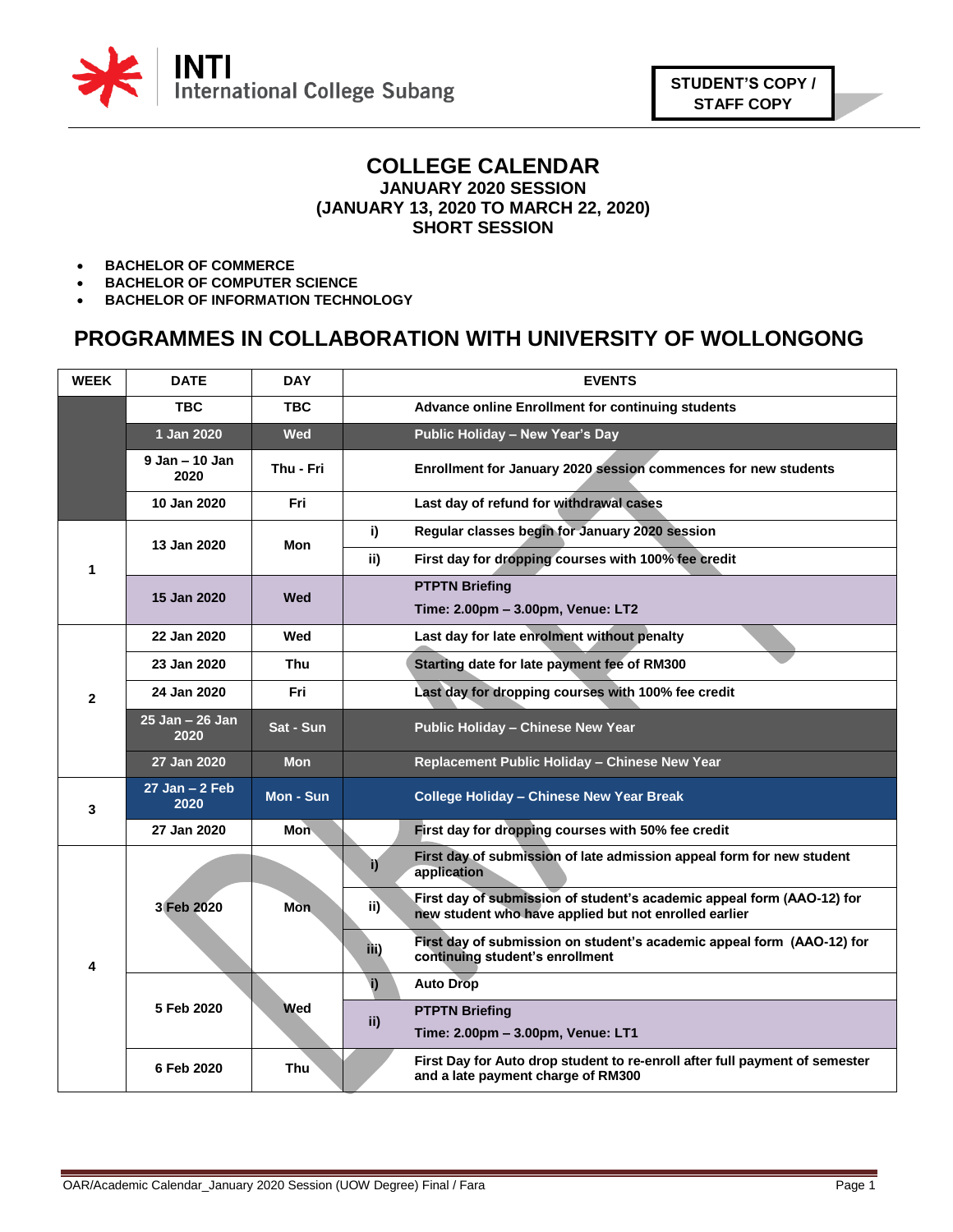

## **COLLEGE CALENDAR JANUARY 2020 SESSION (JANUARY 13, 2020 TO MARCH 22, 2020) SHORT SESSION**

- **BACHELOR OF COMMERCE**
- **BACHELOR OF COMPUTER SCIENCE**
- **BACHELOR OF INFORMATION TECHNOLOGY**

## **PROGRAMMES IN COLLABORATION WITH UNIVERSITY OF WOLLONGONG**

| <b>WEEK</b>  | <b>DATE</b>                | <b>DAY</b> | <b>EVENTS</b>                                                                                                                          |
|--------------|----------------------------|------------|----------------------------------------------------------------------------------------------------------------------------------------|
|              | <b>TBC</b>                 | <b>TBC</b> | Advance online Enrollment for continuing students                                                                                      |
|              | 1 Jan 2020                 | Wed        | Public Holiday - New Year's Day                                                                                                        |
|              | $9$ Jan $-$ 10 Jan<br>2020 | Thu - Fri  | Enrollment for January 2020 session commences for new students                                                                         |
|              | 10 Jan 2020                | Fri        | Last day of refund for withdrawal cases                                                                                                |
| 1            | 13 Jan 2020                | Mon        | Regular classes begin for January 2020 session<br>i)                                                                                   |
|              |                            |            | First day for dropping courses with 100% fee credit<br>ii)                                                                             |
|              | 15 Jan 2020                | Wed        | <b>PTPTN Briefing</b>                                                                                                                  |
|              |                            |            | Time: 2.00pm - 3.00pm, Venue: LT2                                                                                                      |
| $\mathbf{2}$ | 22 Jan 2020                | Wed        | Last day for late enrolment without penalty                                                                                            |
|              | 23 Jan 2020                | Thu        | Starting date for late payment fee of RM300                                                                                            |
|              | 24 Jan 2020                | Fri        | Last day for dropping courses with 100% fee credit                                                                                     |
|              | 25 Jan - 26 Jan<br>2020    | Sat - Sun  | Public Holiday - Chinese New Year                                                                                                      |
|              | 27 Jan 2020                | <b>Mon</b> | Replacement Public Holiday - Chinese New Year                                                                                          |
| 3            | $27$ Jan $-2$ Feb<br>2020  | Mon - Sun  | <b>College Holiday - Chinese New Year Break</b>                                                                                        |
|              | 27 Jan 2020                | <b>Mon</b> | First day for dropping courses with 50% fee credit                                                                                     |
| 4            |                            |            | First day of submission of late admission appeal form for new student<br>i)<br>application                                             |
|              | 3 Feb 2020                 | <b>Mon</b> | First day of submission of student's academic appeal form (AAO-12) for<br>ii)<br>new student who have applied but not enrolled earlier |
|              |                            |            | First day of submission on student's academic appeal form (AAO-12) for<br>iii)<br>continuing student's enrollment                      |
|              | 5 Feb 2020                 |            | i)<br><b>Auto Drop</b>                                                                                                                 |
|              |                            | <b>Wed</b> | <b>PTPTN Briefing</b><br>ii)                                                                                                           |
|              |                            |            | Time: 2.00pm - 3.00pm, Venue: LT1                                                                                                      |
|              | 6 Feb 2020                 | <b>Thu</b> | First Day for Auto drop student to re-enroll after full payment of semester<br>and a late payment charge of RM300                      |